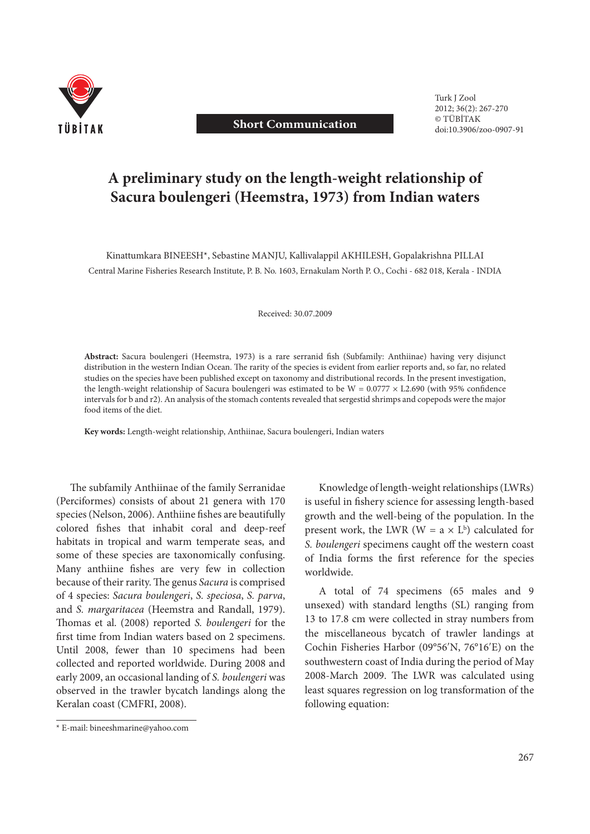

## **Short Communication**

 Turk J Zool 2012; 36(2): 267-270 © TÜBİTAK doi:10.3906/zoo-0907-91

# **A preliminary study on the length-weight relationship of Sacura boulengeri (Heemstra, 1973) from Indian waters**

Kinattumkara BINEESH\*, Sebastine MANJU, Kallivalappil AKHILESH, Gopalakrishna PILLAI Central Marine Fisheries Research Institute, P. B. No. 1603, Ernakulam North P. O., Cochi - 682 018, Kerala - INDIA

Received: 30.07.2009

Abstract: Sacura boulengeri (Heemstra, 1973) is a rare serranid fish (Subfamily: Anthiinae) having very disjunct distribution in the western Indian Ocean. The rarity of the species is evident from earlier reports and, so far, no related studies on the species have been published except on taxonomy and distributional records. In the present investigation, the length-weight relationship of Sacura boulengeri was estimated to be  $W = 0.0777 \times L2.690$  (with 95% confidence intervals for b and r2). An analysis of the stomach contents revealed that sergestid shrimps and copepods were the major food items of the diet.

**Key words:** Length-weight relationship, Anthiinae, Sacura boulengeri, Indian waters

The subfamily Anthiinae of the family Serranidae (Perciformes) consists of about 21 genera with 170 species (Nelson, 2006). Anthiine fishes are beautifully colored fishes that inhabit coral and deep-reef habitats in tropical and warm temperate seas, and some of these species are taxonomically confusing. Many anthiine fishes are very few in collection because of their rarity. The genus *Sacura* is comprised of 4 species: *Sacura boulengeri*, *S. speciosa*, *S. parva*, and *S. margaritacea* (Heemstra and Randall, 1979). Thomas et al. (2008) reported *S. boulengeri* for the first time from Indian waters based on 2 specimens. Until 2008, fewer than 10 specimens had been collected and reported worldwide. During 2008 and early 2009, an occasional landing of *S. boulengeri* was observed in the trawler bycatch landings along the Keralan coast (CMFRI, 2008).

Knowledge of length-weight relationships (LWRs) is useful in fishery science for assessing length-based growth and the well-being of the population. In the present work, the LWR ( $W = a \times L^b$ ) calculated for *S. boulengeri* specimens caught off the western coast of India forms the first reference for the species worldwide.

A total of 74 specimens (65 males and 9 unsexed) with standard lengths (SL) ranging from 13 to 17.8 cm were collected in stray numbers from the miscellaneous bycatch of trawler landings at Cochin Fisheries Harbor (09°56ʹN, 76°16ʹE) on the southwestern coast of India during the period of May 2008-March 2009. The LWR was calculated using least squares regression on log transformation of the following equation:

<sup>\*</sup> E-mail: bineeshmarine@yahoo.com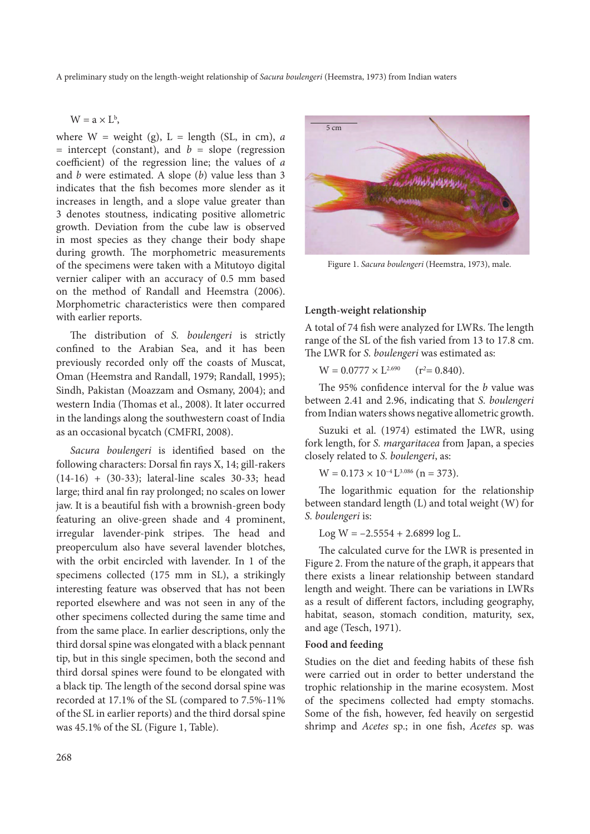A preliminary study on the length-weight relationship of *Sacura boulengeri* (Heemstra, 1973) from Indian waters

 $W = a \times L^b$ ,

where  $W =$  weight (g),  $L =$  length (SL, in cm), *a*  $=$  intercept (constant), and  $b =$  slope (regression coefficient) of the regression line; the values of *a* and *b* were estimated. A slope (*b*) value less than 3 indicates that the fish becomes more slender as it increases in length, and a slope value greater than 3 denotes stoutness, indicating positive allometric growth. Deviation from the cube law is observed in most species as they change their body shape during growth. The morphometric measurements of the specimens were taken with a Mitutoyo digital vernier caliper with an accuracy of 0.5 mm based on the method of Randall and Heemstra (2006). Morphometric characteristics were then compared with earlier reports.

The distribution of *S. boulengeri* is strictly confined to the Arabian Sea, and it has been previously recorded only off the coasts of Muscat, Oman (Heemstra and Randall, 1979; Randall, 1995); Sindh, Pakistan (Moazzam and Osmany, 2004); and western India (Thomas et al., 2008). It later occurred in the landings along the southwestern coast of India as an occasional bycatch (CMFRI, 2008).

Sacura boulengeri is identified based on the following characters: Dorsal fin rays X, 14; gill-rakers (14-16) + (30-33); lateral-line scales 30-33; head large; third anal fin ray prolonged; no scales on lower jaw. It is a beautiful fish with a brownish-green body featuring an olive-green shade and 4 prominent, irregular lavender-pink stripes. The head and preoperculum also have several lavender blotches, with the orbit encircled with lavender. In 1 of the specimens collected (175 mm in SL), a strikingly interesting feature was observed that has not been reported elsewhere and was not seen in any of the other specimens collected during the same time and from the same place. In earlier descriptions, only the third dorsal spine was elongated with a black pennant tip, but in this single specimen, both the second and third dorsal spines were found to be elongated with a black tip. The length of the second dorsal spine was recorded at 17.1% of the SL (compared to 7.5%-11% of the SL in earlier reports) and the third dorsal spine was 45.1% of the SL (Figure 1, Table).



Figure 1. *Sacura boulengeri* (Heemstra, 1973), male.

## **Length-weight relationship**

A total of 74 fish were analyzed for LWRs. The length range of the SL of the fish varied from 13 to 17.8 cm. The LWR for *S. boulengeri* was estimated as:

 $W = 0.0777 \times L^{2.690}$  $(r^2 = 0.840)$ .

The 95% confidence interval for the *b* value was between 2.41 and 2.96, indicating that *S. boulengeri* from Indian waters shows negative allometric growth.

Suzuki et al. (1974) estimated the LWR, using fork length, for *S. margaritacea* from Japan, a species closely related to *S. boulengeri*, as:

 $W = 0.173 \times 10^{-4}$  L<sup>3.086</sup> (n = 373).

The logarithmic equation for the relationship between standard length (L) and total weight (W) for *S. boulengeri* is:

Log W =  $-2.5554 + 2.6899 \log L$ .

The calculated curve for the LWR is presented in Figure 2. From the nature of the graph, it appears that there exists a linear relationship between standard length and weight. There can be variations in LWRs as a result of different factors, including geography, habitat, season, stomach condition, maturity, sex, and age (Tesch, 1971).

## **Food and feeding**

Studies on the diet and feeding habits of these fish were carried out in order to better understand the trophic relationship in the marine ecosystem. Most of the specimens collected had empty stomachs. Some of the fish, however, fed heavily on sergestid shrimp and *Acetes* sp.; in one fish, *Acetes* sp. was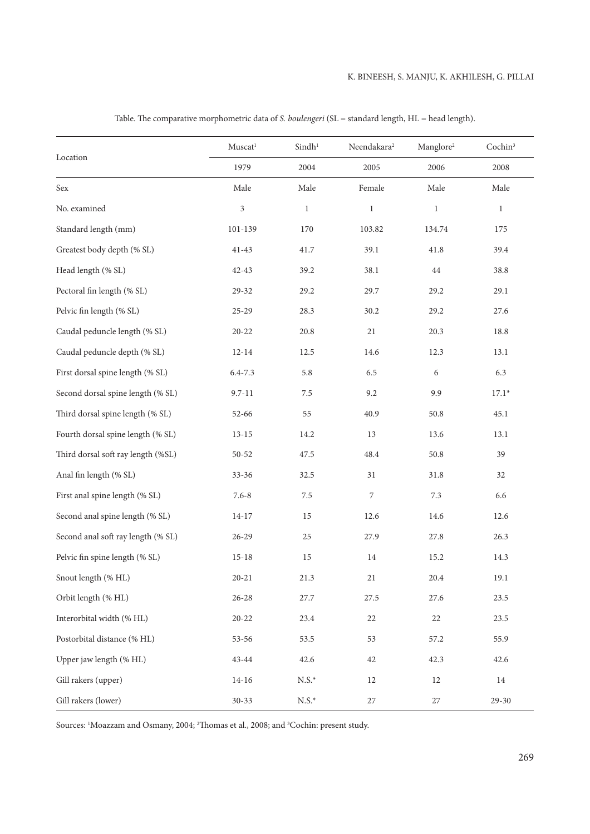| Location                           | $Muscat^1$                  | Sindh <sup>1</sup>   | Neendakara <sup>2</sup> | Manglore <sup>2</sup> | Cochin <sup>3</sup> |
|------------------------------------|-----------------------------|----------------------|-------------------------|-----------------------|---------------------|
|                                    | 1979                        | 2004                 | 2005                    | 2006                  | 2008                |
| Sex                                | Male                        | Male                 | Female                  | Male                  | Male                |
| No. examined                       | $\ensuremath{\mathfrak{Z}}$ | $\mathbf{1}$         | $\,1$                   | $\mathbf{1}$          | $\mathbf{1}$        |
| Standard length (mm)               | $101 - 139$                 | $170\,$              | 103.82                  | 134.74                | 175                 |
| Greatest body depth (% SL)         | $41 - 43$                   | 41.7                 | 39.1                    | 41.8                  | 39.4                |
| Head length (% SL)                 | $42 - 43$                   | 39.2                 | 38.1                    | 44                    | 38.8                |
| Pectoral fin length (% SL)         | 29-32                       | 29.2                 | 29.7                    | 29.2                  | 29.1                |
| Pelvic fin length (% SL)           | $25 - 29$                   | 28.3                 | 30.2                    | 29.2                  | 27.6                |
| Caudal peduncle length (% SL)      | $20 - 22$                   | 20.8                 | 21                      | 20.3                  | 18.8                |
| Caudal peduncle depth (% SL)       | $12 - 14$                   | 12.5                 | 14.6                    | 12.3                  | 13.1                |
| First dorsal spine length (% SL)   | $6.4 - 7.3$                 | 5.8                  | 6.5                     | 6                     | 6.3                 |
| Second dorsal spine length (% SL)  | $9.7 - 11$                  | 7.5                  | 9.2                     | 9.9                   | $17.1*$             |
| Third dorsal spine length (% SL)   | 52-66                       | 55                   | 40.9                    | 50.8                  | 45.1                |
| Fourth dorsal spine length (% SL)  | $13 - 15$                   | 14.2                 | 13                      | 13.6                  | 13.1                |
| Third dorsal soft ray length (%SL) | 50-52                       | 47.5                 | 48.4                    | $50.8\,$              | 39                  |
| Anal fin length (% SL)             | $33 - 36$                   | 32.5                 | 31                      | 31.8                  | 32                  |
| First anal spine length (% SL)     | $7.6 - 8$                   | 7.5                  | 7                       | 7.3                   | 6.6                 |
| Second anal spine length (% SL)    | $14 - 17$                   | 15                   | 12.6                    | 14.6                  | 12.6                |
| Second anal soft ray length (% SL) | $26 - 29$                   | 25                   | 27.9                    | 27.8                  | 26.3                |
| Pelvic fin spine length (% SL)     | $15 - 18$                   | 15                   | 14                      | 15.2                  | 14.3                |
| Snout length (% HL)                | $20 - 21$                   | 21.3                 | 21                      | 20.4                  | 19.1                |
| Orbit length (% HL)                | $26 - 28$                   | 27.7                 | 27.5                    | 27.6                  | 23.5                |
| Interorbital width (% HL)          | $20 - 22$                   | 23.4                 | 22                      | 22                    | 23.5                |
| Postorbital distance (% HL)        | 53-56                       | 53.5                 | 53                      | 57.2                  | 55.9                |
| Upper jaw length (% HL)            | 43-44                       | 42.6                 | 42                      | 42.3                  | 42.6                |
| Gill rakers (upper)                | $14 - 16$                   | $N.S.*$              | $12\,$                  | 12                    | $14\,$              |
| Gill rakers (lower)                | $30 - 33$                   | $\text{N.S.}^{\ast}$ | $27\,$                  | $27\,$                | $29 - 30$           |

Table. The comparative morphometric data of *S. boulengeri* (SL = standard length, HL = head length).

Sources: <sup>1</sup>Moazzam and Osmany, 2004; <sup>2</sup>Thomas et al., 2008; and <sup>3</sup>Cochin: present study.